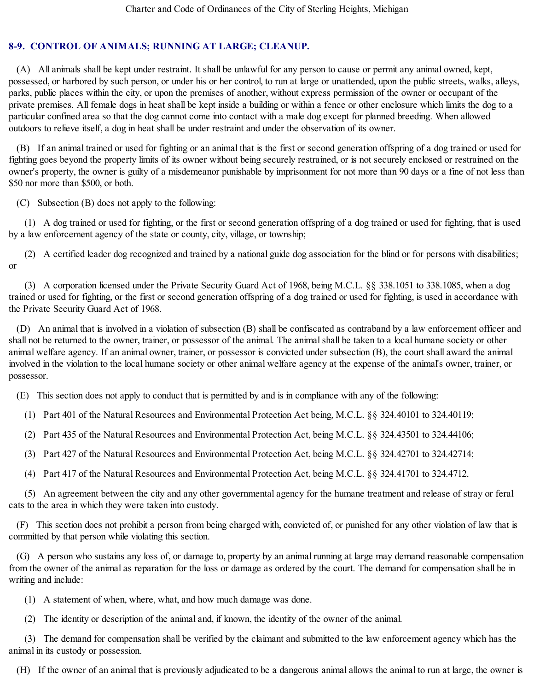## **8-9. CONTROL OF ANIMALS; RUNNING AT LARGE; CLEANUP.**

(A) All animals shall be kept under restraint. It shall be unlawful for any person to cause or permit any animal owned, kept, possessed, or harbored by such person, or under his or her control, to run at large or unattended, upon the public streets, walks, alleys, parks, public places within the city, or upon the premises of another, without express permission of the owner or occupant of the private premises. All female dogs in heat shall be kept inside a building or within a fence or other enclosure which limits the dog to a particular confined area so that the dog cannot come into contact with a male dog except for planned breeding. When allowed outdoors to relieve itself, a dog in heat shall be under restraint and under the observation of its owner.

(B) If an animal trained or used for fighting or an animal that is the first or second generation offspring of a dog trained or used for fighting goes beyond the property limits of its owner without being securely restrained, or is not securely enclosed or restrained on the owner's property, the owner is guilty of a misdemeanor punishable by imprisonment for not more than 90 days or a fine of not less than \$50 nor more than \$500, or both.

(C) Subsection (B) does not apply to the following:

(1) A dog trained or used for fighting, or the first or second generation offspring of a dog trained or used for fighting, that is used by a law enforcement agency of the state or county, city, village, or township;

(2) A certified leader dog recognized and trained by a national guide dog association for the blind or for persons with disabilities; or

(3) A corporation licensed under the Private Security Guard Act of 1968, being M.C.L. §§ 338.1051 to 338.1085, when a dog trained or used for fighting, or the first or second generation offspring of a dog trained or used for fighting, is used in accordance with the Private Security Guard Act of 1968.

(D) An animal that is involved in a violation of subsection (B) shall be confiscated as contraband by a law enforcement officer and shall not be returned to the owner, trainer, or possessor of the animal. The animal shall be taken to a local humane society or other animal welfare agency. If an animal owner, trainer, or possessor is convicted under subsection (B), the court shall award the animal involved in the violation to the local humane society or other animal welfare agency at the expense of the animal's owner, trainer, or possessor.

(E) This section does not apply to conduct that is permitted by and is in compliance with any of the following:

(1) Part 401 of the Natural Resources and Environmental Protection Act being, M.C.L. §§ 324.40101 to 324.40119;

(2) Part 435 of the Natural Resources and Environmental Protection Act, being M.C.L. §§ 324.43501 to 324.44106;

(3) Part 427 of the Natural Resources and Environmental Protection Act, being M.C.L. §§ 324.42701 to 324.42714;

(4) Part 417 of the Natural Resources and Environmental Protection Act, being M.C.L. §§ 324.41701 to 324.4712.

(5) An agreement between the city and any other governmental agency for the humane treatment and release of stray or feral cats to the area in which they were taken into custody.

(F) This section does not prohibit a person from being charged with, convicted of, or punished for any other violation of law that is committed by that person while violating this section.

(G) A person who sustains any loss of, or damage to, property by an animal running at large may demand reasonable compensation from the owner of the animal as reparation for the loss or damage as ordered by the court. The demand for compensation shall be in writing and include:

(1) A statement of when, where, what, and how much damage was done.

(2) The identity or description of the animal and, if known, the identity of the owner of the animal.

(3) The demand for compensation shall be verified by the claimant and submitted to the law enforcement agency which has the animal in its custody or possession.

(H) If the owner of an animal that is previously adjudicated to be a dangerous animal allows the animal to run at large, the owner is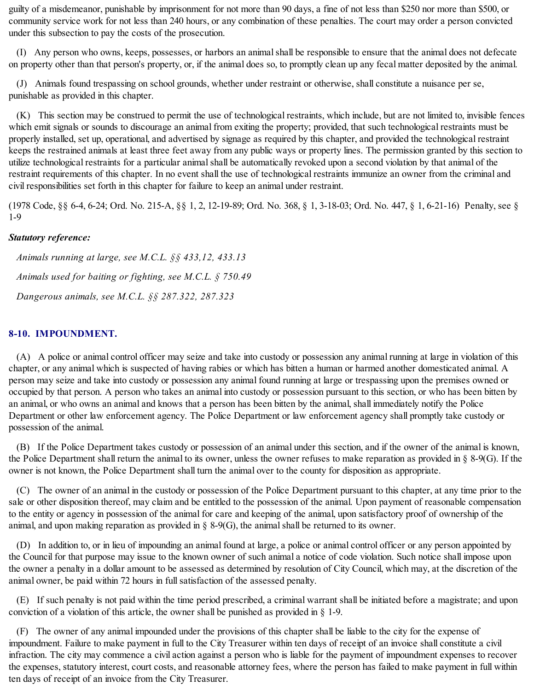guilty of a misdemeanor, punishable by imprisonment for not more than 90 days, a fine of not less than \$250 nor more than \$500, or community service work for not less than 240 hours, or any combination of these penalties. The court may order a person convicted under this subsection to pay the costs of the prosecution.

(I) Any person who owns, keeps, possesses, or harbors an animalshall be responsible to ensure that the animal does not defecate on property other than that person's property, or, if the animal does so, to promptly clean up any fecal matter deposited by the animal.

(J) Animals found trespassing on school grounds, whether under restraint or otherwise, shall constitute a nuisance per se, punishable as provided in this chapter.

(K) This section may be construed to permit the use of technological restraints, which include, but are not limited to, invisible fences which emit signals or sounds to discourage an animal from exiting the property; provided, that such technological restraints must be properly installed, set up, operational, and advertised by signage as required by this chapter, and provided the technological restraint keeps the restrained animals at least three feet away from any public ways or property lines. The permission granted by this section to utilize technological restraints for a particular animal shall be automatically revoked upon a second violation by that animal of the restraint requirements of this chapter. In no event shall the use of technological restraints immunize an owner from the criminal and civil responsibilities set forth in this chapter for failure to keep an animal under restraint.

(1978 Code, §§ 6-4, 6-24; Ord. No. 215-A, §§ 1, 2, 12-19-89; Ord. No. 368, § 1, 3-18-03; Ord. No. 447, § 1, 6-21-16) Penalty, see § 1-9

## *Statutory reference:*

*Animals running at large, see M.C.L. §§ 433,12, 433.13 Animals used for baiting or fighting, see M.C.L. § 750.49 Dangerous animals, see M.C.L. §§ 287.322, 287.323*

## **8-10. IMPOUNDMENT.**

(A) A police or animal control officer may seize and take into custody or possession any animal running at large in violation of this chapter, or any animal which is suspected of having rabies or which has bitten a human or harmed another domesticated animal. A person may seize and take into custody or possession any animal found running at large or trespassing upon the premises owned or occupied by that person. A person who takes an animal into custody or possession pursuant to this section, or who has been bitten by an animal, or who owns an animal and knows that a person has been bitten by the animal, shall immediately notify the Police Department or other law enforcement agency. The Police Department or law enforcement agency shall promptly take custody or possession of the animal.

(B) If the Police Department takes custody or possession of an animal under this section, and if the owner of the animal is known, the Police Department shall return the animal to its owner, unless the owner refuses to make reparation as provided in § 8-9(G). If the owner is not known, the Police Department shall turn the animal over to the county for disposition as appropriate.

(C) The owner of an animal in the custody or possession of the Police Department pursuant to this chapter, at any time prior to the sale or other disposition thereof, may claim and be entitled to the possession of the animal. Upon payment of reasonable compensation to the entity or agency in possession of the animal for care and keeping of the animal, upon satisfactory proof of ownership of the animal, and upon making reparation as provided in  $\S$  8-9(G), the animal shall be returned to its owner.

(D) In addition to, or in lieu of impounding an animal found at large, a police or animal control officer or any person appointed by the Council for that purpose may issue to the known owner of such animal a notice of code violation. Such notice shall impose upon the owner a penalty in a dollar amount to be assessed as determined by resolution of City Council, which may, at the discretion of the animal owner, be paid within 72 hours in full satisfaction of the assessed penalty.

(E) If such penalty is not paid within the time period prescribed, a criminal warrant shall be initiated before a magistrate; and upon conviction of a violation of this article, the owner shall be punished as provided in  $\S$  1-9.

(F) The owner of any animal impounded under the provisions of this chapter shall be liable to the city for the expense of impoundment. Failure to make payment in full to the City Treasurer within ten days of receipt of an invoice shall constitute a civil infraction. The city may commence a civil action against a person who is liable for the payment of impoundment expenses to recover the expenses, statutory interest, court costs, and reasonable attorney fees, where the person has failed to make payment in full within ten days of receipt of an invoice from the City Treasurer.